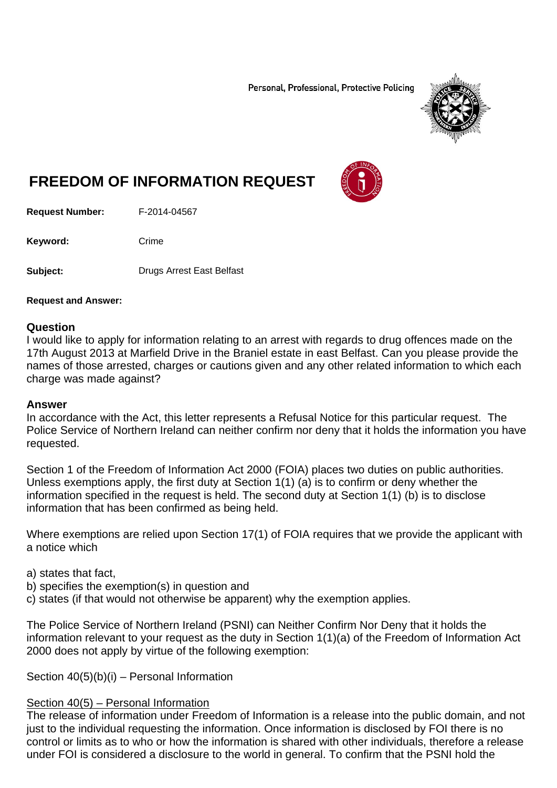Personal, Professional, Protective Policing



# **FREEDOM OF INFORMATION REQUEST**

**Request Number:** F-2014-04567

Keyword: Crime

**Subject:** Drugs Arrest East Belfast

#### **Request and Answer:**

#### **Question**

I would like to apply for information relating to an arrest with regards to drug offences made on the 17th August 2013 at Marfield Drive in the Braniel estate in east Belfast. Can you please provide the names of those arrested, charges or cautions given and any other related information to which each charge was made against?

#### **Answer**

In accordance with the Act, this letter represents a Refusal Notice for this particular request. The Police Service of Northern Ireland can neither confirm nor deny that it holds the information you have requested.

Section 1 of the Freedom of Information Act 2000 (FOIA) places two duties on public authorities. Unless exemptions apply, the first duty at Section 1(1) (a) is to confirm or deny whether the information specified in the request is held. The second duty at Section 1(1) (b) is to disclose information that has been confirmed as being held.

Where exemptions are relied upon Section 17(1) of FOIA requires that we provide the applicant with a notice which

a) states that fact,

- b) specifies the exemption(s) in question and
- c) states (if that would not otherwise be apparent) why the exemption applies.

The Police Service of Northern Ireland (PSNI) can Neither Confirm Nor Deny that it holds the information relevant to your request as the duty in Section 1(1)(a) of the Freedom of Information Act 2000 does not apply by virtue of the following exemption:

Section 40(5)(b)(i) – Personal Information

### Section 40(5) – Personal Information

The release of information under Freedom of Information is a release into the public domain, and not just to the individual requesting the information. Once information is disclosed by FOI there is no control or limits as to who or how the information is shared with other individuals, therefore a release under FOI is considered a disclosure to the world in general. To confirm that the PSNI hold the